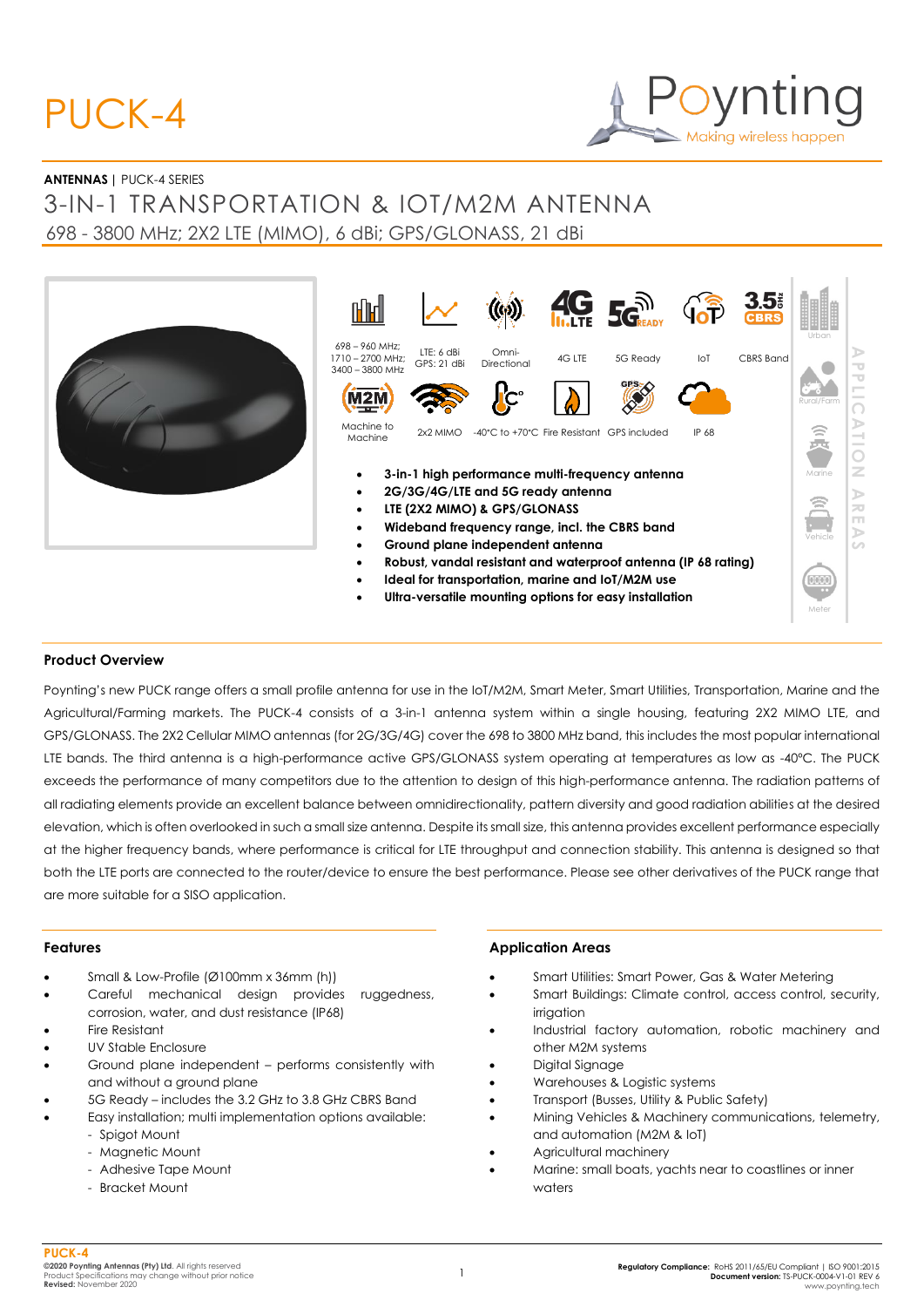# PUCK-4



#### **ANTENNAS |** PUCK-4 SERIES

# 3-IN-1 TRANSPORTATION & IOT/M2M ANTENNA 698 - 3800 MHz; 2X2 LTE (MIMO), 6 dBi; GPS/GLONASS, 21 dBi

| n in I                                                                                                                                                 |                           |                                            |        | <b>AG SGREADY</b>                                                                                                                                                            |       | $3.53$ CBRS | Urban                                              |                                           |
|--------------------------------------------------------------------------------------------------------------------------------------------------------|---------------------------|--------------------------------------------|--------|------------------------------------------------------------------------------------------------------------------------------------------------------------------------------|-------|-------------|----------------------------------------------------|-------------------------------------------|
| 698 - 960 MHz;<br>1710 - 2700 MHz:<br>3400 - 3800 MHz                                                                                                  | LTE: 6 dBi<br>GPS: 21 dBi | Omni-<br>Directional                       | 4G LTE | 5G Ready                                                                                                                                                                     | IoT   | CBRS Band   |                                                    | $\overline{\phantom{a}}$                  |
|                                                                                                                                                        |                           |                                            |        |                                                                                                                                                                              |       |             | Rural/Farm                                         | $\overline{\phantom{a}}$<br>$\frac{1}{2}$ |
| Machine to<br>Machine                                                                                                                                  | 2x2 MIMO                  | -40°C to +70°C Fire Resistant GPS included |        |                                                                                                                                                                              | IP 68 |             |                                                    | D<br>$\overline{\phantom{a}}$<br>$\sim$   |
|                                                                                                                                                        |                           |                                            |        | 3-in-1 high performance multi-frequency antenna                                                                                                                              |       |             | Marine                                             | z                                         |
| 2G/3G/4G/LTE and 5G ready antenna<br>LTE (2X2 MIMO) & GPS/GLONASS<br>Wideband frequency range, incl. the CBRS band<br>Ground plane independent antenna |                           |                                            |        |                                                                                                                                                                              |       | Vehicle     | ъ<br>$\geq$<br>$\Box$<br>$\Rightarrow$<br>$\omega$ |                                           |
|                                                                                                                                                        |                           |                                            |        | Robust, vandal resistant and waterproof antenna (IP 68 rating)<br>Ideal for transportation, marine and IoT/M2M use<br>Ultra-versatile mounting options for easy installation |       |             | 0000<br>Meter                                      |                                           |

#### **Product Overview**

Poynting's new PUCK range offers a small profile antenna for use in the IoT/M2M, Smart Meter, Smart Utilities, Transportation, Marine and the Agricultural/Farming markets. The PUCK-4 consists of a 3-in-1 antenna system within a single housing, featuring 2X2 MIMO LTE, and GPS/GLONASS. The 2X2 Cellular MIMO antennas (for 2G/3G/4G) cover the 698 to 3800 MHz band, this includes the most popular international LTE bands. The third antenna is a high-performance active GPS/GLONASS system operating at temperatures as low as -40ºC. The PUCK exceeds the performance of many competitors due to the attention to design of this high-performance antenna. The radiation patterns of all radiating elements provide an excellent balance between omnidirectionality, pattern diversity and good radiation abilities at the desired elevation, which is often overlooked in such a small size antenna. Despite its small size, this antenna provides excellent performance especially at the higher frequency bands, where performance is critical for LTE throughput and connection stability. This antenna is designed so that both the LTE ports are connected to the router/device to ensure the best performance. Please see other derivatives of the PUCK range that are more suitable for a SISO application.

#### **Features**

- Small & Low-Profile (Ø100mm x 36mm (h))
- Careful mechanical design provides ruggedness, corrosion, water, and dust resistance (IP68)
- Fire Resistant
- UV Stable Enclosure
- Ground plane independent performs consistently with and without a ground plane
- 5G Ready includes the 3.2 GHz to 3.8 GHz CBRS Band
- Easy installation; multi implementation options available: - Spigot Mount
	- Magnetic Mount
	- Adhesive Tape Mount
	- Bracket Mount

#### **Application Areas**

- Smart Utilities: Smart Power, Gas & Water Metering
- Smart Buildings: Climate control, access control, security, irrigation
- Industrial factory automation, robotic machinery and other M2M systems
- Digital Signage
- Warehouses & Logistic systems
- Transport (Busses, Utility & Public Safety)
- Mining Vehicles & Machinery communications, telemetry, and automation (M2M & IoT)
- Agricultural machinery
- Marine: small boats, yachts near to coastlines or inner waters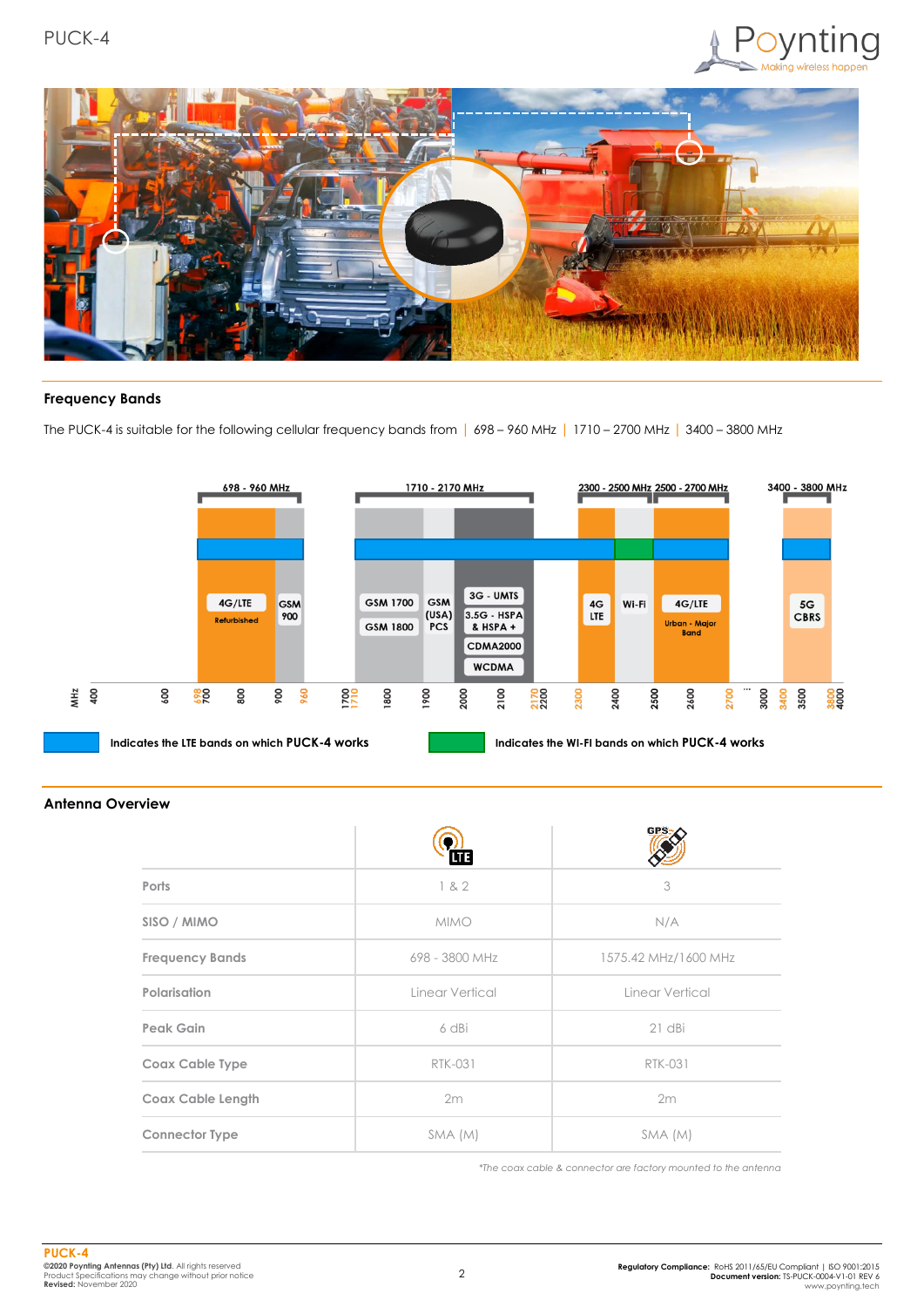



### **Frequency Bands**

The PUCK-4 is suitable for the following cellular frequency bands from | 698 – 960 MHz | 1710 – 2700 MHz | 3400 – 3800 MHz



#### **Antenna Overview**

|                          | 匝               | <b>GPS</b>           |
|--------------------------|-----------------|----------------------|
| Ports                    | 182             | 3                    |
| SISO / MIMO              | <b>MIMO</b>     | N/A                  |
| <b>Frequency Bands</b>   | 698 - 3800 MHz  | 1575.42 MHz/1600 MHz |
| Polarisation             | Linear Vertical | Linear Vertical      |
| Peak Gain                | 6 dBi           | $21$ dBi             |
| Coax Cable Type          | <b>RTK-031</b>  | <b>RTK-031</b>       |
| <b>Coax Cable Length</b> | 2m              | 2m                   |
| <b>Connector Type</b>    | SMA (M)         | SMA (M)              |

*\*The coax cable & connector are factory mounted to the antenna*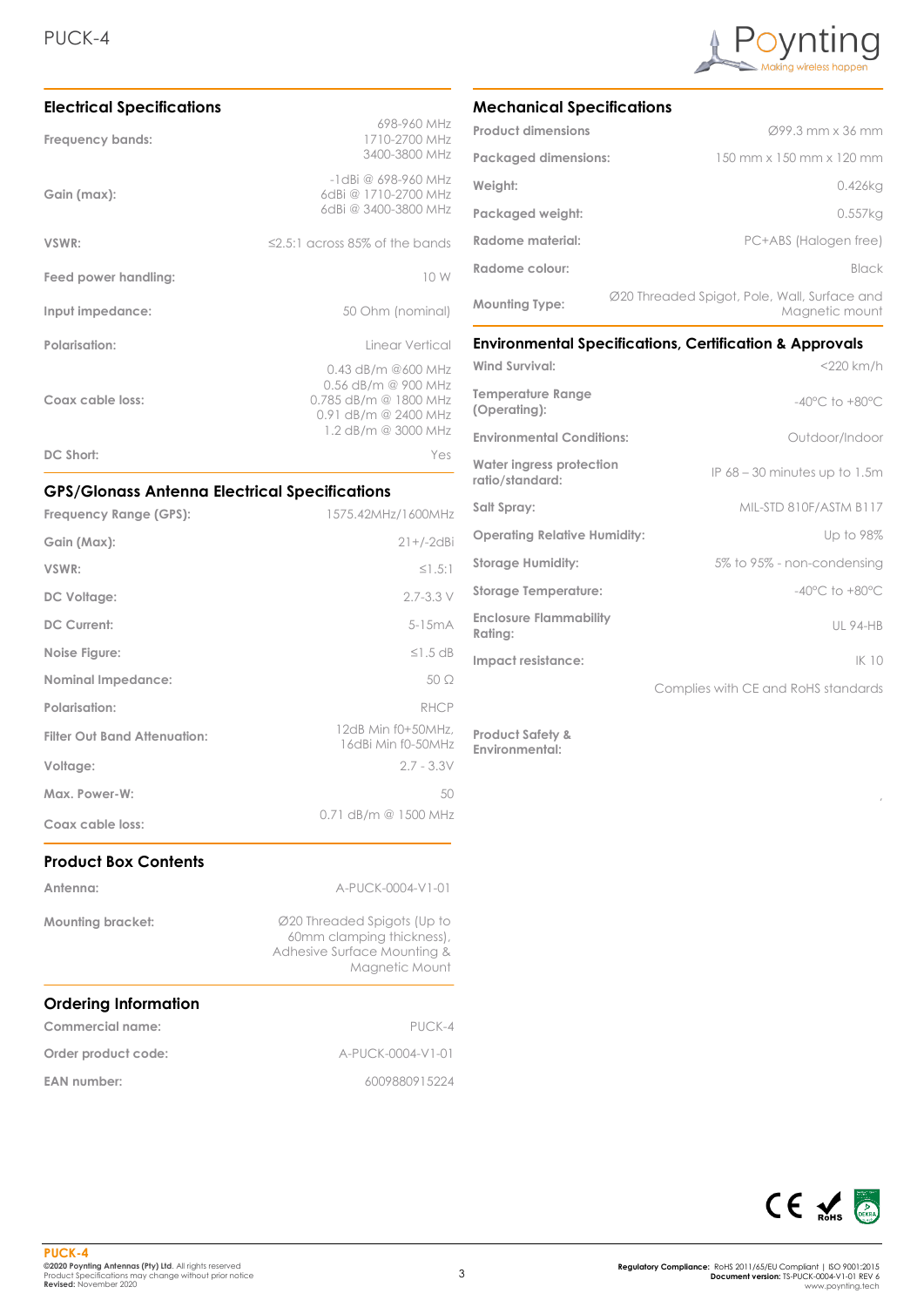

| <b>Electrical Specifications</b> |                                                                                                                         |
|----------------------------------|-------------------------------------------------------------------------------------------------------------------------|
| Frequency bands:                 | 698-960 MHz<br>1710-2700 MHz<br>3400-3800 MHz                                                                           |
| Gain (max):                      | $-1$ dBi @ 698-960 MHz<br>6dBi @ 1710-2700 MHz<br>6dBi @ 3400-3800 MHz                                                  |
| VSWR:                            | $\leq$ 2.5:1 across 85% of the bands                                                                                    |
| Feed power handling:             | 10 W                                                                                                                    |
| Input impedance:                 | 50 Ohm (nominal)                                                                                                        |
| Polarisation:                    | Linear Vertical                                                                                                         |
| Coax cable loss:                 | $0.43$ dB/m @600 MHz<br>$0.56$ dB/m @ 900 MHz<br>$0.785$ dB/m @ 1800 MHz<br>0.91 dB/m @ 2400 MHz<br>1.2 dB/m @ 3000 MHz |
| DC Short:                        | Yes                                                                                                                     |

## **GPS/Glonass Antenna Electrical Specifications**

| Frequency Range (GPS):              | 1575.42MHz/1600MHz                       |
|-------------------------------------|------------------------------------------|
| Gain (Max):                         | $21+/-2$ dBi                             |
| VSWR:                               | $\leq$ 1.5:1                             |
| DC Voltage:                         | $2.7 - 3.3$ V                            |
| <b>DC Current:</b>                  | $5-15mA$                                 |
| Noise Figure:                       | $\leq$ 1.5 dB                            |
| <b>Nominal Impedance:</b>           | $50\Omega$                               |
| <b>Polarisation:</b>                | RHCP                                     |
| <b>Filter Out Band Attenuation:</b> | 12dB Min f0+50MHz,<br>16dBi Min f0-50MHz |
| Voltage:                            | $2.7 - 3.3V$                             |
| Max. Power-W:                       | 50                                       |
| Coax cable loss:                    | 0.71 dB/m @ 1500 MHz                     |

# **Product Box Contents**

| Antenna:                    | A-PUCK-0004-V1-01                                                                                         |
|-----------------------------|-----------------------------------------------------------------------------------------------------------|
| <b>Mounting bracket:</b>    | Ø20 Threaded Spigots (Up to<br>60mm clamping thickness),<br>Adhesive Surface Mounting &<br>Magnetic Mount |
| <b>Ordering Information</b> |                                                                                                           |
| Commercial name:            | PUCK-4                                                                                                    |
| Order product code:         | A-PUCK-0004-V1-01                                                                                         |

#### **EAN number:** 6009880915224

**Mechanical Specifications**

| <b>Product dimensions</b>   | $\varnothing$ 99.3 mm x 36 mm                                  |
|-----------------------------|----------------------------------------------------------------|
| <b>Packaged dimensions:</b> | 150 mm x 150 mm x 120 mm                                       |
| Weight:                     | $0.426$ kg                                                     |
| Packaged weight:            | $0.557$ kg                                                     |
| Radome material:            | PC+ABS (Halogen free)                                          |
| Radome colour:              | Black                                                          |
| <b>Mounting Type:</b>       | Ø20 Threaded Spigot, Pole, Wall, Surface and<br>Magnetic mount |

#### **Environmental Specifications, Certification & Approvals**

| Wind Survival:                              | $<$ 220 km/h                        |
|---------------------------------------------|-------------------------------------|
| <b>Temperature Range</b><br>(Operating):    | $-40^{\circ}$ C to $+80^{\circ}$ C  |
| <b>Environmental Conditions:</b>            | Outdoor/Indoor                      |
| Water ingress protection<br>ratio/standard: | IP $68 - 30$ minutes up to 1.5m     |
| Salt Spray:                                 | MIL-STD 810F/ASTM B117              |
| <b>Operating Relative Humidity:</b>         | Up to 98%                           |
| <b>Storage Humidity:</b>                    | 5% to 95% - non-condensing          |
| <b>Storage Temperature:</b>                 | $-40^{\circ}$ C to $+80^{\circ}$ C  |
| <b>Enclosure Flammability</b><br>Rating:    | <b>UL 94-HB</b>                     |
| Impact resistance:                          | IK 10                               |
|                                             | Complies with CE and RoHS standards |

**Product Safety & Environmental:**



,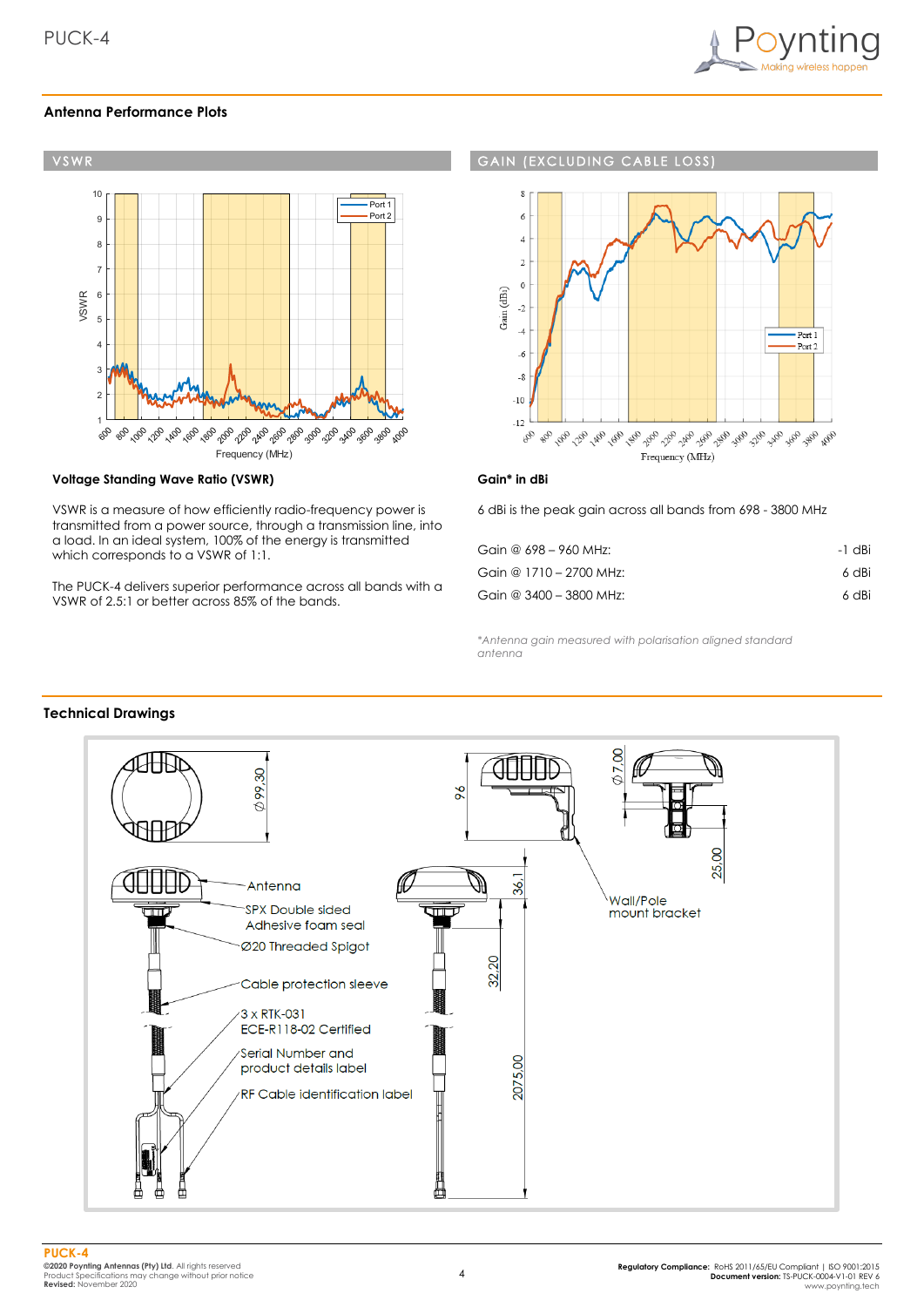

#### **Antenna Performance Plots**



#### **Voltage Standing Wave Ratio (VSWR)**

VSWR is a measure of how efficiently radio-frequency power is transmitted from a power source, through a transmission line, into a load. In an ideal system, 100% of the energy is transmitted which corresponds to a VSWR of 1:1.

The PUCK-4 delivers superior performance across all bands with a VSWR of 2.5:1 or better across 85% of the bands.

#### **GAIN (EXCLUDING CABLE LOSS**



#### **Gain\* in dBi**

6 dBi is the peak gain across all bands from 698 - 3800 MHz

| Gain @ $698 - 960$ MHz:   | -1 dBi |
|---------------------------|--------|
| Gain @ 1710 - 2700 MHz:   | 6 dBi  |
| Gain @ $3400 - 3800$ MHz: | 6 dBi  |

*\*Antenna gain measured with polarisation aligned standard antenna*

#### **Technical Drawings**

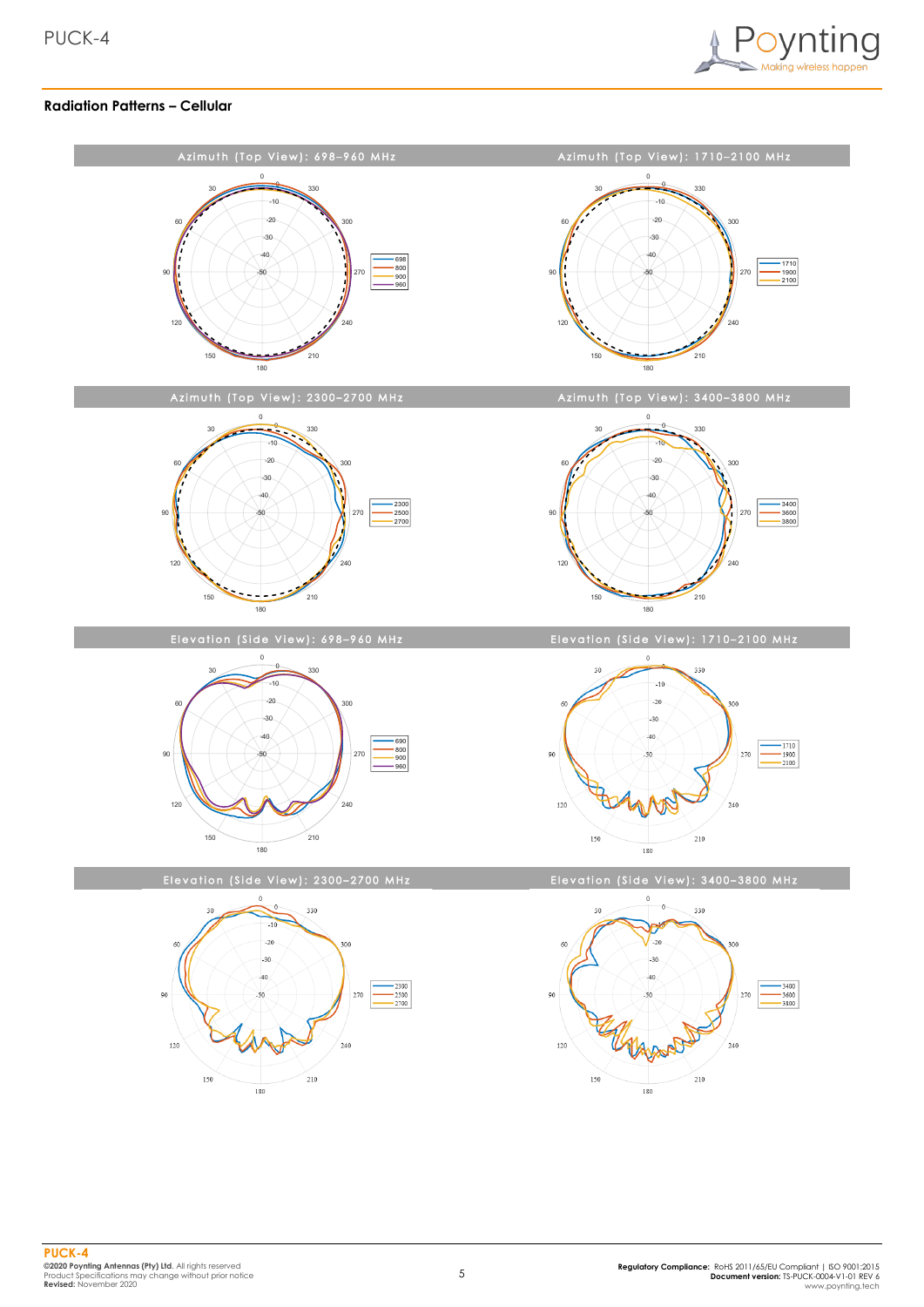

#### **Radiation Patterns – Cellular**

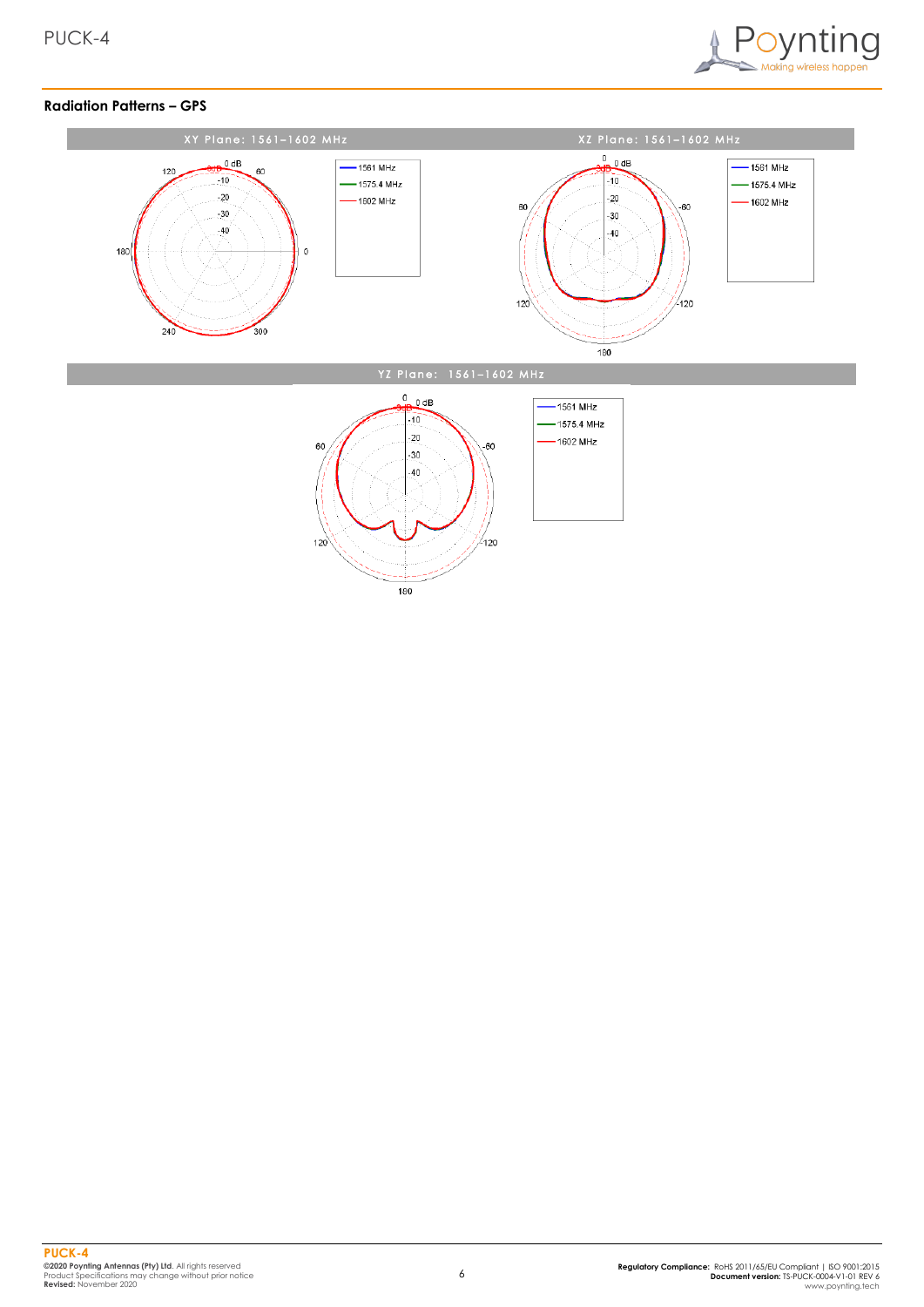

#### **Radiation Patterns – GPS**

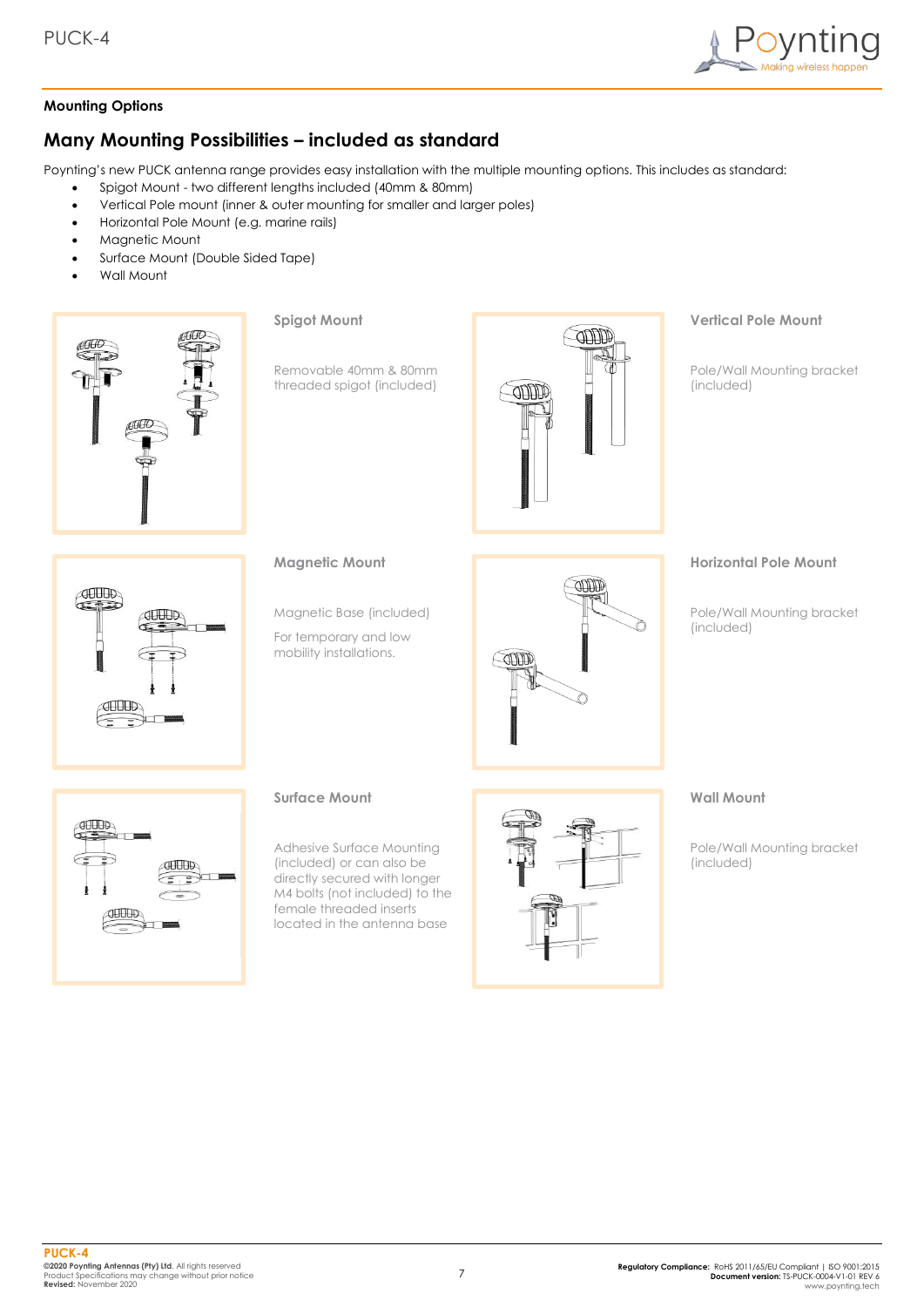

#### **Mounting Options**

# **Many Mounting Possibilities – included as standard**

Poynting's new PUCK antenna range provides easy installation with the multiple mounting options. This includes as standard:

- Spigot Mount two different lengths included (40mm & 80mm)
- Vertical Pole mount (inner & outer mounting for smaller and larger poles)
- Horizontal Pole Mount (e.g. marine rails)
- Magnetic Mount
- Surface Mount (Double Sided Tape)
- Wall Mount



**Spigot Mount**

Removable 40mm & 80mm threaded spigot (included)



### **Vertical Pole Mount**

Pole/Wall Mounting bracket (included)



#### **Magnetic Mount**

Magnetic Base (included)

For temporary and low mobility installations.



#### **Horizontal Pole Mount**

Pole/Wall Mounting bracket (included)



#### **Surface Mount**

Adhesive Surface Mounting (included) or can also be directly secured with longer M4 bolts (not included) to the female threaded inserts located in the antenna base



#### **Wall Mount**

Pole/Wall Mounting bracket (included)